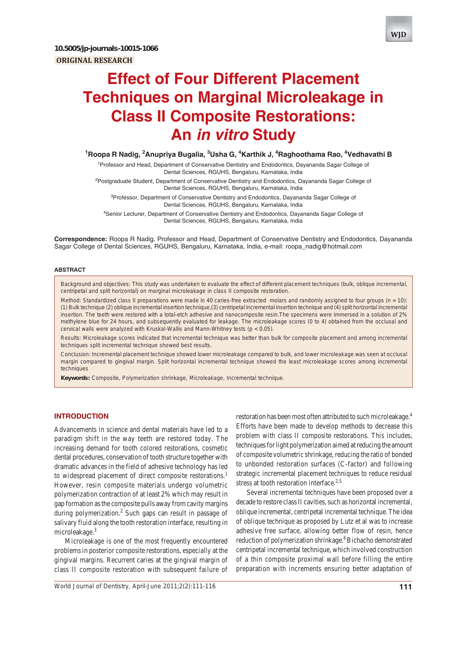

<sup>1</sup>Roopa R Nadig, <sup>2</sup>Anupriya Bugalia, <sup>3</sup>Usha G, <sup>4</sup>Karthik J, <sup>4</sup>Raghoothama Rao, <sup>4</sup>Vedhavathi B

<sup>1</sup> Professor and Head, Department of Conservative Dentistry and Endodontics, Dayananda Sagar College of Dental Sciences, RGUHS, Bengaluru, Karnataka, India

<sup>2</sup>Postgraduate Student, Department of Conservative Dentistry and Endodontics, Dayananda Sagar College of Dental Sciences, RGUHS, Bengaluru, Karnataka, India

<sup>3</sup>Professor, Department of Conservative Dentistry and Endodontics, Dayananda Sagar College of Dental Sciences, RGUHS, Bengaluru, Karnataka, India 4 Senior Lecturer, Department of Conservative Dentistry and Endodontics, Dayananda Sagar College of

Dental Sciences, RGUHS, Bengaluru, Karnataka, India

**Correspondence:** Roopa R Nadig, Professor and Head, Department of Conservative Dentistry and Endodontics, Dayananda Sagar College of Dental Sciences, RGUHS, Bengaluru, Karnataka, India, e-mail: roopa\_nadig@hotmail.com

### **ABSTRACT**

*Background and objectives*: This study was undertaken to evaluate the effect of different placement techniques (bulk, oblique incremental, centripetal and split horizontal) on marginal microleakage in class II composite restoration.

*Method*: Standardized class II preparations were made in 40 caries-free extracted molars and randomly assigned to four groups (n = 10): (1) Bulk technique (2) oblique incremental insertion technique,(3) centripetal incremental insertion technique and (4) split horizontal incremental insertion. The teeth were restored with a total-etch adhesive and nanocomposite resin.The specimens were immersed in a solution of 2% methylene blue for 24 hours, and subsequently evaluated for leakage. The microleakage scores (0 to 4) obtained from the occlusal and cervical walls were analyzed with Kruskal-Wallis and Mann-Whitney tests (p < 0.05).

*Results*: Microleakage scores indicated that incremental technique was better than bulk for composite placement and among incremental techniques split incremental technique showed best results.

*Conclusion*: Incremental placement technique showed lower microleakage compared to bulk, and lower microleakage was seen at occlusal margin compared to gingival margin. Split horizontal incremental technique showed the least microleakage scores among incremental techniques

**Keywords:** Composite, Polymerization shrinkage, Microleakage, Incremental technique.

# **INTRODUCTION**

Advancements in science and dental materials have led to a paradigm shift in the way teeth are restored today. The increasing demand for tooth colored restorations, cosmetic dental procedures, conservation of tooth structure together with dramatic advances in the field of adhesive technology has led to widespread placement of direct composite restorations.<sup>1</sup> However, resin composite materials undergo volumetric polymerization contraction of at least 2% which may result in gap formation as the composite pulls away from cavity margins during polymerization.<sup>2</sup> Such gaps can result in passage of salivary fluid along the tooth restoration interface, resulting in microleakage.<sup>3</sup>

Microleakage is one of the most frequently encountered problems in posterior composite restorations, especially at the gingival margins. Recurrent caries at the gingival margin of class II composite restoration with subsequent failure of

*World Journal of Dentistry, April-June 2011;2(2):111-116* **111**

restoration has been most often attributed to such microleakage.<sup>4</sup> Efforts have been made to develop methods to decrease this problem with class II composite restorations. This includes, techniques for light polymerization aimed at reducing the amount of composite volumetric shrinkage, reducing the ratio of bonded to unbonded restoration surfaces (C-factor) and following strategic incremental placement techniques to reduce residual stress at tooth restoration interface. $2,5$ 

Several incremental techniques have been proposed over a decade to restore class II cavities, such as horizontal incremental, oblique incremental, centripetal incremental technique. The idea of oblique technique as proposed by Lutz et al was to increase adhesive free surface, allowing better flow of resin, hence reduction of polymerization shrinkage.<sup>6</sup> Bichacho demonstrated centripetal incremental technique, which involved construction of a thin composite proximal wall before filling the entire preparation with increments ensuring better adaptation of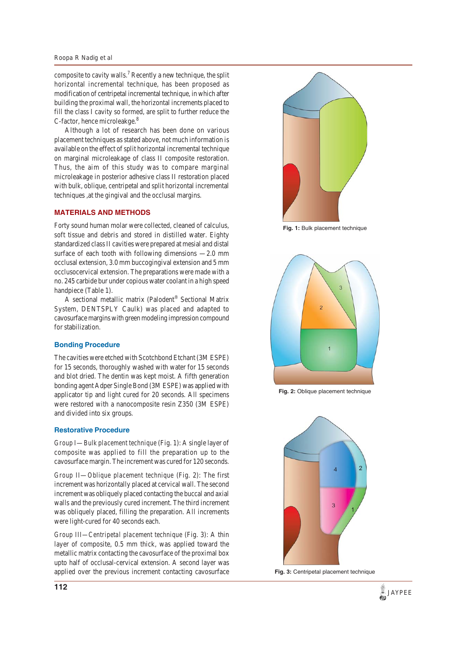#### *Roopa R Nadig et al*

composite to cavity walls.<sup>7</sup> Recently a new technique, the split horizontal incremental technique, has been proposed as modification of centripetal incremental technique, in which after building the proximal wall, the horizontal increments placed to fill the class I cavity so formed, are split to further reduce the C-factor, hence microleakge.<sup>8</sup>

Although a lot of research has been done on various placement techniques as stated above, not much information is available on the effect of split horizontal incremental technique on marginal microleakage of class II composite restoration. Thus, the aim of this study was to compare marginal microleakage in posterior adhesive class II restoration placed with bulk, oblique, centripetal and split horizontal incremental techniques ,at the gingival and the occlusal margins.

## **MATERIALS AND METHODS**

Forty sound human molar were collected, cleaned of calculus, soft tissue and debris and stored in distilled water. Eighty standardized class II cavities were prepared at mesial and distal surface of each tooth with following dimensions  $-2.0$  mm occlusal extension, 3.0 mm buccogingival extension and 5 mm occlusocervical extension. The preparations were made with a no. 245 carbide bur under copious water coolant in a high speed handpiece (Table 1).

A sectional metallic matrix (Palodent® Sectional Matrix System, DENTSPLY Caulk) was placed and adapted to cavosurface margins with green modeling impression compound for stabilization.

## **Bonding Procedure**

The cavities were etched with Scotchbond Etchant (3M ESPE) for 15 seconds, thoroughly washed with water for 15 seconds and blot dried. The dentin was kept moist. A fifth generation bonding agent Adper Single Bond (3M ESPE) was applied with applicator tip and light cured for 20 seconds. All specimens were restored with a nanocomposite resin Z350 (3M ESPE) and divided into six groups.

### **Restorative Procedure**

*Group I*—*Bulk placement technique* (Fig. 1): A single layer of composite was applied to fill the preparation up to the cavosurface margin. The increment was cured for 120 seconds.

*Group II*—*Oblique placement technique* (Fig. 2): The first increment was horizontally placed at cervical wall. The second increment was obliquely placed contacting the buccal and axial walls and the previously cured increment. The third increment was obliquely placed, filling the preparation. All increments were light-cured for 40 seconds each.

*Group III—Centripetal placement technique* (Fig. 3): A thin layer of composite, 0.5 mm thick, was applied toward the metallic matrix contacting the cavosurface of the proximal box upto half of occlusal-cervical extension. A second layer was applied over the previous increment contacting cavosurface



**Fig. 1:** Bulk placement technique



**Fig. 2:** Oblique placement technique



**Fig. 3:** Centripetal placement technique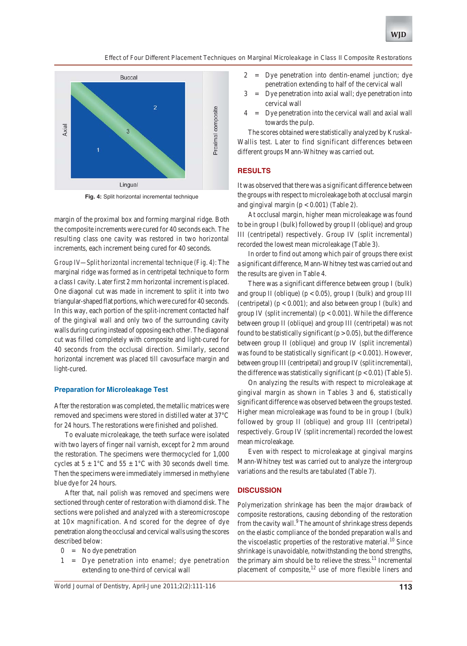*Effect of Four Different Placement Techniques on Marginal Microleakage in Class II Composite Restorations*



**Fig. 4:** Split horizontal incremental technique

margin of the proximal box and forming marginal ridge. Both the composite increments were cured for 40 seconds each. The resulting class one cavity was restored in two horizontal increments, each increment being cured for 40 seconds.

*Group IV—Split horizontal incremental technique (Fig. 4)*: The marginal ridge was formed as in centripetal technique to form a class I cavity. Later first 2 mm horizontal increment is placed. One diagonal cut was made in increment to split it into two triangular-shaped flat portions, which were cured for 40 seconds. In this way, each portion of the split-increment contacted half of the gingival wall and only two of the surrounding cavity walls during curing instead of opposing each other. The diagonal cut was filled completely with composite and light-cured for 40 seconds from the occlusal direction. Similarly, second horizontal increment was placed till cavosurface margin and light-cured.

#### **Preparation for Microleakage Test**

After the restoration was completed, the metallic matrices were removed and specimens were stored in distilled water at 37°C for 24 hours. The restorations were finished and polished.

To evaluate microleakage, the teeth surface were isolated with two layers of finger nail varnish, except for 2 mm around the restoration. The specimens were thermocycled for 1,000 cycles at  $5 \pm 1$ °C and  $55 \pm 1$ °C with 30 seconds dwell time. Then the specimens were immediately immersed in methylene blue dye for 24 hours.

After that, nail polish was removed and specimens were sectioned through center of restoration with diamond disk. The sections were polished and analyzed with a stereomicroscope at  $10\times$  magnification. And scored for the degree of dye penetration along the occlusal and cervical walls using the scores described below:

- $0 = No$  dye penetration
- 1 = Dye penetration into enamel; dye penetration extending to one-third of cervical wall
- 2 = Dye penetration into dentin-enamel junction; dye penetration extending to half of the cervical wall
- 3 = Dye penetration into axial wall; dye penetration into cervical wall
- 4 = Dye penetration into the cervical wall and axial wall towards the pulp.

The scores obtained were statistically analyzed by Kruskal-Wallis test. Later to find significant differences between different groups Mann-Whitney was carried out.

### **RESULTS**

It was observed that there was a significant difference between the groups with respect to microleakage both at occlusal margin and gingival margin  $(p < 0.001)$  (Table 2).

At occlusal margin, higher mean microleakage was found to be in group I (bulk) followed by group II (oblique) and group III (centripetal) respectively. Group IV (split incremental) recorded the lowest mean microleakage (Table 3).

In order to find out among which pair of groups there exist a significant difference, Mann-Whitney test was carried out and the results are given in Table 4.

There was a significant difference between group I (bulk) and group II (oblique) ( $p < 0.05$ ), group I (bulk) and group III (centripetal)  $(p < 0.001)$ ; and also between group I (bulk) and group IV (split incremental) ( $p < 0.001$ ). While the difference between group II (oblique) and group III (centripetal) was not found to be statistically significant ( $p > 0.05$ ), but the difference between group II (oblique) and group IV (split incremental) was found to be statistically significant ( $p < 0.001$ ). However, between group III (centripetal) and group IV (split incremental), the difference was statistically significant  $(p < 0.01)$  (Table 5).

On analyzing the results with respect to microleakage at gingival margin as shown in Tables 3 and 6, statistically significant difference was observed between the groups tested. Higher mean microleakage was found to be in group I (bulk) followed by group II (oblique) and group III (centripetal) respectively. Group IV (split incremental) recorded the lowest mean microleakage.

Even with respect to microleakage at gingival margins Mann-Whitney test was carried out to analyze the intergroup variations and the results are tabulated (Table 7).

#### **DISCUSSION**

Polymerization shrinkage has been the major drawback of composite restorations, causing debonding of the restoration from the cavity wall.<sup>9</sup> The amount of shrinkage stress depends on the elastic compliance of the bonded preparation walls and the viscoelastic properties of the restorative material.<sup>10</sup> Since shrinkage is unavoidable, notwithstanding the bond strengths, the primary aim should be to relieve the stress.<sup>11</sup> Incremental placement of composite, $12$  use of more flexible liners and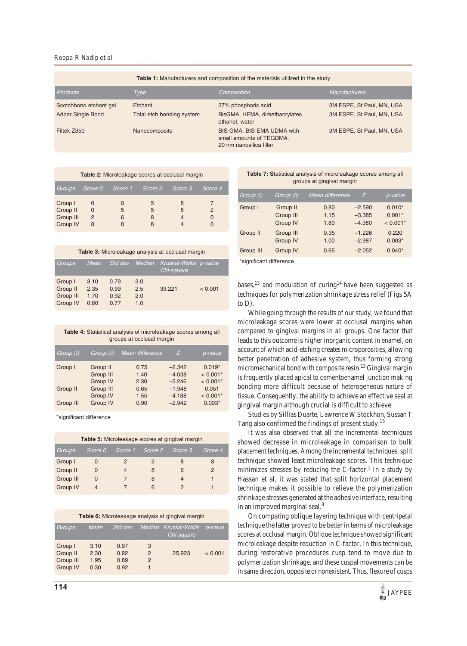*Roopa R Nadig et al*

| <b>Table 1:</b> Manufacturers and composition of the materials utilized in the study |                                      |                                                                                   |                                                        |  |  |
|--------------------------------------------------------------------------------------|--------------------------------------|-----------------------------------------------------------------------------------|--------------------------------------------------------|--|--|
| <b>Products</b>                                                                      | Type                                 | Composition                                                                       | <b>Manufacturers</b>                                   |  |  |
| Scotchbond etchant gel<br><b>Adper Single Bond</b>                                   | Etchant<br>Total etch bonding system | 37% phosphoric acid<br>BisGMA, HEMA, dimethacrylates<br>ethanol, water            | 3M ESPE, St Paul, MN, USA<br>3M ESPE, St Paul, MN, USA |  |  |
| Filtek Z350                                                                          | Nanocomposite                        | BIS-GMA, BIS-EMA UDMA with<br>small amounts of TEGDMA.<br>20 nm nanosilica filler | 3M ESPE, St Paul, MN, USA                              |  |  |

| Table 2: Microleakage scores at occlusal margin |                                     |         |             |         |         |  |
|-------------------------------------------------|-------------------------------------|---------|-------------|---------|---------|--|
| <b>Groups</b>                                   | Score 0                             | Score 1 | Score 2     | Score 3 | Score 4 |  |
| Group I<br>Group II<br>Group III<br>Group IV    | O<br>$\Omega$<br>$\mathcal{P}$<br>8 | 5<br>6  | 5<br>5<br>8 | 8<br>8  |         |  |

| Table 3: Microleakage analysis at occlusal margin |                              |                              |                          |                                      |         |  |
|---------------------------------------------------|------------------------------|------------------------------|--------------------------|--------------------------------------|---------|--|
| <b>Groups</b>                                     | Mean                         | Std dev                      | Median                   | Kruskal-Wallis p-value<br>Chi-square |         |  |
| Group I<br>Group II<br>Group III<br>Group IV      | 3.10<br>2.35<br>1.70<br>0.80 | 0.79<br>0.99<br>0.92<br>0.77 | 3.0<br>2.5<br>2.0<br>1.0 | 39.221                               | < 0.001 |  |

| Table 4: Statistical analysis of microleakage scores among all<br>groups at occlusal margin |                                   |                      |                                  |                                      |  |  |
|---------------------------------------------------------------------------------------------|-----------------------------------|----------------------|----------------------------------|--------------------------------------|--|--|
| Mean difference<br>Group (i)<br>p-value<br>Group (ii)<br>Z                                  |                                   |                      |                                  |                                      |  |  |
| Group I                                                                                     | Group II<br>Group III<br>Group IV | 0.75<br>1.40<br>2.30 | $-2.342$<br>$-4.038$<br>$-5.246$ | $0.019*$<br>$< 0.001*$<br>$< 0.001*$ |  |  |
| Group II                                                                                    | Group III<br>Group IV             | 0.65<br>1.55         | $-1.948$<br>$-4.188$             | 0.051<br>$< 0.001*$                  |  |  |
| Group III                                                                                   | Group IV                          | 0.90                 | $-2.942$                         | $0.003*$                             |  |  |

\*significant difference

| Table 5: Microleakage scores at gingival margin |         |         |         |         |         |  |
|-------------------------------------------------|---------|---------|---------|---------|---------|--|
| Groups                                          | Score 0 | Score 1 | Score 2 | Score 3 | Score 4 |  |
| Group I                                         |         | 2       | 2       | 8       | 8       |  |
| Group II                                        |         | 4       | 8       | 6       | 2       |  |
| Group III                                       | O       |         | 8       | 4       |         |  |
| Group IV                                        |         |         | 6       |         |         |  |

| Table 6: Microleakage analysis at gingival margin |                              |                              |                                          |                                     |         |  |
|---------------------------------------------------|------------------------------|------------------------------|------------------------------------------|-------------------------------------|---------|--|
| <b>Groups</b>                                     | Mean                         | Std dev                      | Median                                   | <b>Kruskal-Wallis</b><br>Chi-square | p-value |  |
| Group I<br>Group II<br>Group III<br>Group IV      | 3.10<br>2.30<br>1.95<br>0.30 | 0.97<br>0.92<br>0.89<br>0.92 | 3<br>$\mathcal{P}$<br>$\mathcal{P}$<br>1 | 25.923                              | < 0.001 |  |

#### **Table 7: S**tatistical analysis of microleakage scores among all groups at gingival margin

| Group (i)                   | Group (ii) | Mean difference | Ζ        | p-value    |  |  |
|-----------------------------|------------|-----------------|----------|------------|--|--|
| Group I                     | Group II   | 0.80            | $-2.590$ | $0.010*$   |  |  |
|                             | Group III  | 1.15            | $-3.385$ | $0.001*$   |  |  |
|                             | Group IV   | 1.80            | $-4.380$ | $< 0.001*$ |  |  |
| Group II                    | Group III  | 0.35            | $-1.226$ | 0.220      |  |  |
|                             | Group IV   | 1.00            | $-2.987$ | $0.003*$   |  |  |
| Group III                   | Group IV   | 0.65            | $-2.052$ | $0.040*$   |  |  |
| 少したい いちだい ストレート けんじょう ストレース |            |                 |          |            |  |  |

\*significant difference

bases, $^{13}$  and modulation of curing<sup>14</sup> have been suggested as techniques for polymerization shrinkage stress relief (Figs 5A to D).

While going through the results of our study, we found that microleakage scores were lower at occlusal margins when compared to gingival margins in all groups. One factor that leads to this outcome is higher inorganic content in enamel, on account of which acid-etching creates microporosities, allowing better penetration of adhesive system, thus forming strong micromechanical bond with composite resin.<sup>15</sup> Gingival margin is frequently placed apical to cementoenamel junction making bonding more difficult because of heterogeneous nature of tissue. Consequently, the ability to achieve an effective seal at gingival margin although crucial is difficult to achieve.

Studies by Sillias Duarte, Lawrence W Stockhon, Sussan T Tang also confirmed the findings of present study.<sup>16</sup>

It was also observed that all the incremental techniques showed decrease in microleakage in comparison to bulk placement techniques. Among the incremental techniques, split technique showed least microleakage scores. This technique minimizes stresses by reducing the C-factor.<sup>1</sup> In a study by Hassan et al, it was stated that split horizontal placement technique makes it possible to relieve the polymerization shrinkage stresses generated at the adhesive interface, resulting in an improved marginal seal.<sup>8</sup>

On comparing oblique layering technique with centripetal technique the latter proved to be better in terms of microleakage scores at occlusal margin. Oblique technique showed significant microleakage despite reduction in C-factor. In this technique, during restorative procedures cusp tend to move due to polymerization shrinkage, and these cuspal movements can be in same direction, opposite or nonexistent. Thus, flexure of cusps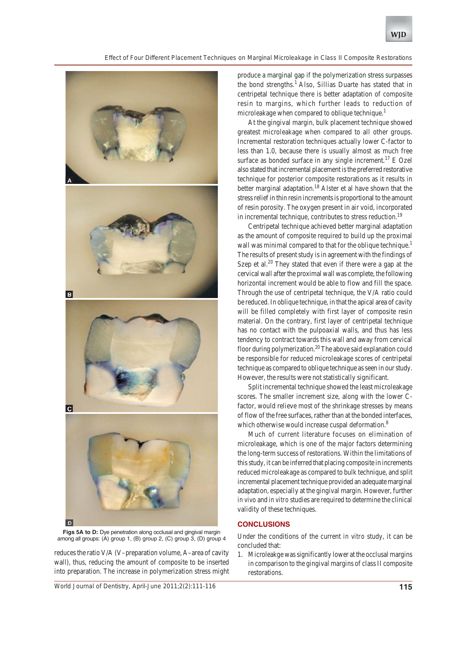*Effect of Four Different Placement Techniques on Marginal Microleakage in Class II Composite Restorations*



**Figs 5A to D:** Dye penetration along occlusal and gingival margin among all groups: (A) group 1, (B) group 2, (C) group 3, (D) group 4

reduces the ratio V/A (V–preparation volume, A–area of cavity wall), thus, reducing the amount of composite to be inserted into preparation. The increase in polymerization stress might

produce a marginal gap if the polymerization stress surpasses the bond strengths.<sup>1</sup> Also, Sillias Duarte has stated that in centripetal technique there is better adaptation of composite resin to margins, which further leads to reduction of microleakage when compared to oblique technique.<sup>1</sup>

At the gingival margin, bulk placement technique showed greatest microleakage when compared to all other groups. Incremental restoration techniques actually lower C-factor to less than 1.0, because there is usually almost as much free surface as bonded surface in any single increment.<sup>17</sup> E Ozel also stated that incremental placement is the preferred restorative technique for posterior composite restorations as it results in better marginal adaptation.<sup>18</sup> Alster et al have shown that the stress relief in thin resin increments is proportional to the amount of resin porosity. The oxygen present in air void, incorporated in incremental technique, contributes to stress reduction.<sup>19</sup>

Centripetal technique achieved better marginal adaptation as the amount of composite required to build up the proximal wall was minimal compared to that for the oblique technique.<sup>1</sup> The results of present study is in agreement with the findings of Szep et al.<sup>20</sup> They stated that even if there were a gap at the cervical wall after the proximal wall was complete, the following horizontal increment would be able to flow and fill the space. Through the use of centripetal technique, the V/A ratio could be reduced. In oblique technique, in that the apical area of cavity will be filled completely with first layer of composite resin material. On the contrary, first layer of centripetal technique has no contact with the pulpoaxial walls, and thus has less tendency to contract towards this wall and away from cervical floor during polymerization.<sup>20</sup> The above said explanation could be responsible for reduced microleakage scores of centripetal technique as compared to oblique technique as seen in our study. However, the results were not statistically significant.

Split incremental technique showed the least microleakage scores. The smaller increment size, along with the lower Cfactor, would relieve most of the shrinkage stresses by means of flow of the free surfaces, rather than at the bonded interfaces, which otherwise would increase cuspal deformation.<sup>8</sup>

Much of current literature focuses on elimination of microleakage, which is one of the major factors determining the long-term success of restorations. Within the limitations of this study, it can be inferred that placing composite in increments reduced microleakage as compared to bulk technique, and split incremental placement technique provided an adequate marginal adaptation, especially at the gingival margin. However, further *in vivo* and *in vitro* studies are required to determine the clinical validity of these techniques.

# **CONCLUSIONS**

Under the conditions of the current *in vitro* study, it can be concluded that:

1. Microleakge was significantly lower at the occlusal margins in comparison to the gingival margins of class II composite restorations.

*World Journal of Dentistry, April-June 2011;2(2):111-116* **115**